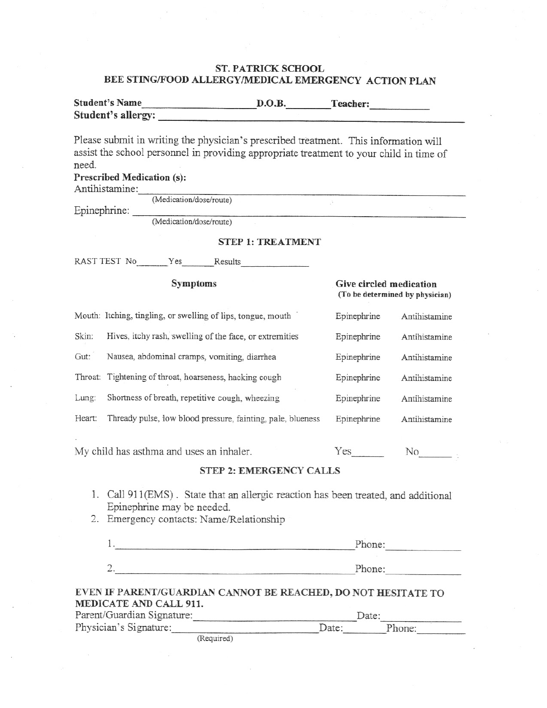## **ST. PATRICK SCHOOL** BEE STING/FOOD ALLERGY/MEDICAL EMERGENCY ACTION PLAN

| <b>Student's Name</b> | D.O.B. | Teacher: |  |
|-----------------------|--------|----------|--|
| Student's allergy:    |        |          |  |

Please submit in writing the physician's prescribed treatment. This information will assist the school personnel in providing appropriate treatment to your child in time of need.

**Prescribed Medication (s):** 

Antihistamine<sup>.</sup>

Heart:

|              | Animino animir.                                              |                         |                                 |
|--------------|--------------------------------------------------------------|-------------------------|---------------------------------|
|              | (Medication/dose/route)                                      |                         |                                 |
| Epinephrine: |                                                              |                         |                                 |
|              | (Medication/dose/route)                                      |                         |                                 |
|              | <b>STEP 1: TREATMENT</b>                                     |                         |                                 |
|              | RAST TEST No Yes Results                                     |                         |                                 |
|              | <b>Symptoms</b>                                              | Give circled medication | (To be determined by physician) |
|              | Mouth: Itching, tingling, or swelling of lips, tongue, mouth | Epinephrine             | Antihistamine                   |
| Skin:        | Hives, itchy rash, swelling of the face, or extremities      | Epinephrine             | Antihistamine                   |
| Gut:         | Nausea, abdominal cramps, vomiting, diarrhea                 | Epinephrine             | Antihistamine                   |
|              | Throat: Tightening of throat, hoarseness, hacking cough      | Epinephrine             | Antihistamine                   |
| Lung:        | Shortness of breath, repetitive cough, wheezing              | Epinephrine             | Antihistamine                   |

My child has asthma and uses an inhaler.

Thready pulse, low blood pressure, fainting, pale, blueness

## **STEP 2: EMERGENCY CALLS**

Epinephrine

Yes

Antihistamine

 $\sim$ 

No

- 1. Call 911(EMS). State that an allergic reaction has been treated, and additional Epinephrine may be needed.
- 2. Emergency contacts: Name/Relationship

|                       | Phone:                                                        |
|-----------------------|---------------------------------------------------------------|
|                       | Phone:                                                        |
| MEDICATE AND CALL 911 | EVEN IF PARENT/GUARDIAN CANNOT BE REACHED, DO NOT HESITATE TO |

| MEDICATE AND CALL 711.     |       |        |  |  |
|----------------------------|-------|--------|--|--|
| Parent/Guardian Signature: |       | Date:  |  |  |
| Physician's Signature:     | Date: | Phone: |  |  |

(Required)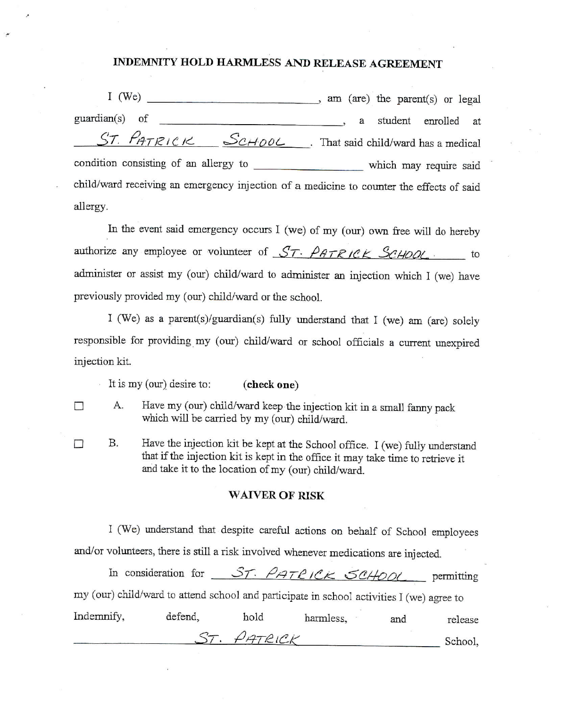## **INDEMNITY HOLD HARMLESS** AND **RELEASE AGREEMENT**

I (We) \_\_ \_ , am (are) the parent(s) or legal guardian(s) of \_ , a student enrolled at  $ST.$   $P_{ATRICK}$   $S_{CHOOL}$ . That said child/ward has a medical condition consisting of an allergy to \_\_\_\_\_\_\_\_\_\_\_\_\_\_\_\_\_ which may require said child/ward receiving an emergency injection of a medicine to counter the effects of said allergy.

In the event said emergency occurs I (we) of my (our) own free will do hereby authorize any employee or volunteer of  $ST$ - PATRICK SCHOOL to administer or assist my (our) child/ward to administer an injection which I (we) have previously provided my (our) child/ward or the school.

I (We) as a parent(s)/guardian(s) fully understand that I (we) am (are) solely responsible for providing my (our) child/ward or school officials a current unexpired injection kit.

It is my (our) desire to: **(check one)**

- $\Box$  A. Have my (our) child/ward keep the injection kit in a small fanny pack which will be carried by my (our) child/ward.
- $\Box$  B. Have the injection kit be kept at the School office. I (we) fully understand that if the injection kit is kept in the office it may take time to retrieve it and take it to the location of my (our) child/ward.

## **WAIVER OF RISK**

I (We) understand that despite careful actions on behalf of School employees and/or volunteers, there is still a risk involved whenever medications are injected.

In consideration for  $\frac{\mathcal{S}_{T} \cdot \rho_{AT} \rho_{IC}}{\mathcal{L}_{K}} \leq \frac{\mathcal{C}_{H} \rho_{OL}}{\mathcal{L}_{H}}$  permitting my (our) child/ward to attend school and participate in school activities I (we) agree to Indemnify, defend, hold harmless, and release ST. PATRICK

School,